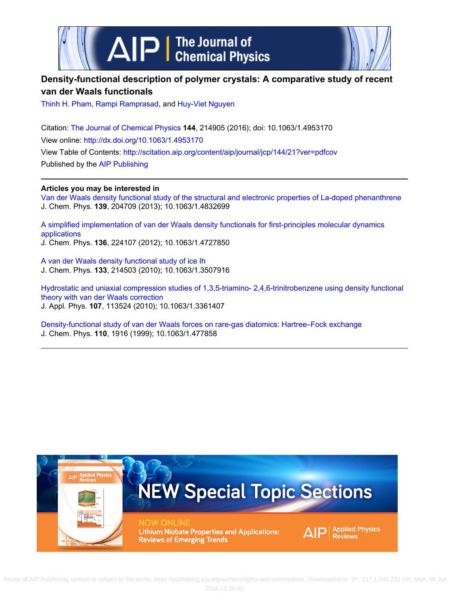



# **Density-functional description of polymer crystals: A comparative study of recent van der Waals functionals**

[Thinh H. Pham,](http://scitation.aip.org/search?value1=Thinh+H.+Pham&option1=author) [Rampi Ramprasad,](http://scitation.aip.org/search?value1=Rampi+Ramprasad&option1=author) and [Huy-Viet Nguyen](http://scitation.aip.org/search?value1=Huy-Viet+Nguyen&option1=author)

Citation: [The Journal of Chemical Physics](http://scitation.aip.org/content/aip/journal/jcp?ver=pdfcov) **144**, 214905 (2016); doi: 10.1063/1.4953170 View online: <http://dx.doi.org/10.1063/1.4953170> View Table of Contents:<http://scitation.aip.org/content/aip/journal/jcp/144/21?ver=pdfcov> Published by the [AIP Publishing](http://scitation.aip.org/content/aip?ver=pdfcov)

# **Articles you may be interested in**

[Van der Waals density functional study of the structural and electronic properties of La-doped phenanthrene](http://scitation.aip.org/content/aip/journal/jcp/139/20/10.1063/1.4832699?ver=pdfcov) J. Chem. Phys. **139**, 204709 (2013); 10.1063/1.4832699

[A simplified implementation of van der Waals density functionals for first-principles molecular dynamics](http://scitation.aip.org/content/aip/journal/jcp/136/22/10.1063/1.4727850?ver=pdfcov) [applications](http://scitation.aip.org/content/aip/journal/jcp/136/22/10.1063/1.4727850?ver=pdfcov)

J. Chem. Phys. **136**, 224107 (2012); 10.1063/1.4727850

[A van der Waals density functional study of ice Ih](http://scitation.aip.org/content/aip/journal/jcp/133/21/10.1063/1.3507916?ver=pdfcov) J. Chem. Phys. **133**, 214503 (2010); 10.1063/1.3507916

[Hydrostatic and uniaxial compression studies of 1,3,5-triamino- 2,4,6-trinitrobenzene using density functional](http://scitation.aip.org/content/aip/journal/jap/107/11/10.1063/1.3361407?ver=pdfcov) [theory with van der Waals correction](http://scitation.aip.org/content/aip/journal/jap/107/11/10.1063/1.3361407?ver=pdfcov) J. Appl. Phys. **107**, 113524 (2010); 10.1063/1.3361407

[Density-functional study of van der Waals forces on rare-gas diatomics: Hartree–Fock exchange](http://scitation.aip.org/content/aip/journal/jcp/110/4/10.1063/1.477858?ver=pdfcov) J. Chem. Phys. **110**, 1916 (1999); 10.1063/1.477858

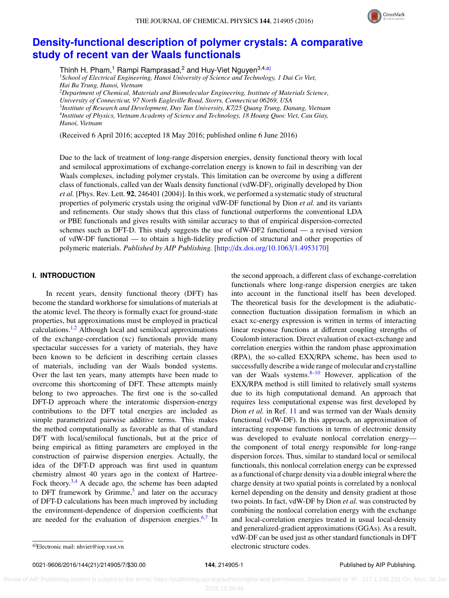

# **[Density-functional description of polymer crystals: A comparative](http://dx.doi.org/10.1063/1.4953170) [study of recent van der Waals functionals](http://dx.doi.org/10.1063/1.4953170)**

Thinh H. Pham,<sup>1</sup> Rampi Ramprasad,<sup>2</sup> and Huy-Viet Nguyen<sup>3,4[,a\)](#page-1-0)</sup> <sup>1</sup>*School of Electrical Engineering, Hanoi University of Science and Technology, 1 Dai Co Viet, Hai Ba Trung, Hanoi, Vietnam* <sup>2</sup>*Department of Chemical, Materials and Biomolecular Engineering, Institute of Materials Science, University of Connecticut, 97 North Eagleville Road, Storrs, Connecticut 06269, USA* 3 *Institute of Research and Development, Duy Tan University, K7*/*25 Quang Trung, Danang, Vietnam* 4 *Institute of Physics, Vietnam Academy of Science and Technology, 18 Hoang Quoc Viet, Cau Giay, Hanoi, Vietnam*

(Received 6 April 2016; accepted 18 May 2016; published online 6 June 2016)

Due to the lack of treatment of long-range dispersion energies, density functional theory with local and semilocal approximations of exchange-correlation energy is known to fail in describing van der Waals complexes, including polymer crystals. This limitation can be overcome by using a different class of functionals, called van der Waals density functional (vdW-DF), originally developed by Dion *et al.* [Phys. Rev. Lett. 92, 246401 (2004)]. In this work, we performed a systematic study of structural properties of polymeric crystals using the original vdW-DF functional by Dion *et al.* and its variants and refinements. Our study shows that this class of functional outperforms the conventional LDA or PBE functionals and gives results with similar accuracy to that of empirical dispersion-corrected schemes such as DFT-D. This study suggests the use of vdW-DF2 functional — a revised version of vdW-DF functional — to obtain a high-fidelity prediction of structural and other properties of polymeric materials. *Published by AIP Publishing.* [\[http:](http://dx.doi.org/10.1063/1.4953170)//[dx.doi.org](http://dx.doi.org/10.1063/1.4953170)/[10.1063](http://dx.doi.org/10.1063/1.4953170)/[1.4953170\]](http://dx.doi.org/10.1063/1.4953170)

# **I. INTRODUCTION**

In recent years, density functional theory (DFT) has become the standard workhorse for simulations of materials at the atomic level. The theory is formally exact for ground-state properties, but approximations must be employed in practical calculations.[1,](#page-6-0)[2](#page-6-1) Although local and semilocal approximations of the exchange-correlation (xc) functionals provide many spectacular successes for a variety of materials, they have been known to be deficient in describing certain classes of materials, including van der Waals bonded systems. Over the last ten years, many attempts have been made to overcome this shortcoming of DFT. These attempts mainly belong to two approaches. The first one is the so-called DFT-D approach where the interatomic dispersion-energy contributions to the DFT total energies are included as simple parametrized pairwise additive terms. This makes the method computationally as favorable as that of standard DFT with local/semilocal functionals, but at the price of being empirical as fitting parameters are employed in the construction of pairwise dispersion energies. Actually, the idea of the DFT-D approach was first used in quantum chemistry almost 40 years ago in the context of Hartree-Fock theory. $3,4$  $3,4$  A decade ago, the scheme has been adapted to DFT framework by Grimme,<sup>[5](#page-6-4)</sup> and later on the accuracy of DFT-D calculations has been much improved by including the environment-dependence of dispersion coefficients that are needed for the evaluation of dispersion energies.<sup>[6](#page-6-5)[,7](#page-6-6)</sup> In

the second approach, a different class of exchange-correlation functionals where long-range dispersion energies are taken into account in the functional itself has been developed. The theoretical basis for the development is the adiabaticconnection fluctuation dissipation formalism in which an exact xc-energy expression is written in terms of interacting linear response functions at different coupling strengths of Coulomb interaction. Direct evaluation of exact-exchange and correlation energies within the random phase approximation (RPA), the so-called EXX/RPA scheme, has been used to successfully describe a wide range of molecular and crystalline van der Waals systems. $8-10$  $8-10$  However, application of the EXX/RPA method is still limited to relatively small systems due to its high computational demand. An approach that requires less computational expense was first developed by Dion *et al.* in Ref. [11](#page-6-9) and was termed van der Waals density functional (vdW-DF). In this approach, an approximation of interacting response functions in terms of electronic density was developed to evaluate nonlocal correlation energy the component of total energy responsible for long-range dispersion forces. Thus, similar to standard local or semilocal functionals, this nonlocal correlation energy can be expressed as a functional of charge density via a double integral where the charge density at two spatial points is correlated by a nonlocal kernel depending on the density and density gradient at those two points. In fact, vdW-DF by Dion *et al.* was constructed by combining the nonlocal correlation energy with the exchange and local-correlation energies treated in usual local-density and generalized-gradient approximations (GGAs). As a result, vdW-DF can be used just as other standard functionals in DFT electronic structure codes.

0021-9606/2016/144(21)/214905/7/\$30.00 **144**, 214905-1 Published by AIP Publishing.

<span id="page-1-0"></span>a)Electronic mail: [nhviet@iop.vast.vn](mailto:nhviet@iop.vast.vn)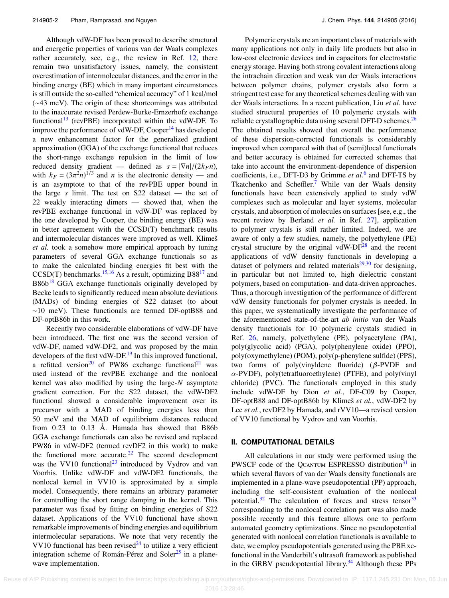Although vdW-DF has been proved to describe structural and energetic properties of various van der Waals complexes rather accurately, see, e.g., the review in Ref. [12,](#page-6-10) there remain two unsatisfactory issues, namely, the consistent overestimation of intermolecular distances, and the error in the binding energy (BE) which in many important circumstances is still outside the so-called "chemical accuracy" of 1 kcal/mol (∼43 meV). The origin of these shortcomings was attributed to the inaccurate revised Perdew-Burke-Ernzerhofz exchange functional<sup>[13](#page-6-11)</sup> (revPBE) incorporated within the vdW-DF. To improve the performance of vdW-DF, Cooper $^{14}$  $^{14}$  $^{14}$  has developed a new enhancement factor for the generalized gradient approximation (GGA) of the exchange functional that reduces the short-range exchange repulsion in the limit of low reduced density gradient — defined as  $s = |\nabla n|/(2k_F n)$ , with  $k_F = (3\pi^2 n)^{1/3}$  and *n* is the electronic density — and<br>is an asymptote to that of the revPBE upper bound in is an asymptote to that of the revPBE upper bound in the large *s* limit. The test on S22 dataset — the set of 22 weakly interacting dimers — showed that, when the revPBE exchange functional in vdW-DF was replaced by the one developed by Cooper, the binding energy (BE) was in better agreement with the CCSD(T) benchmark results and intermolecular distances were improved as well. Klimeš *et al.* took a somehow more empirical approach by tuning parameters of several GGA exchange functionals so as to make the calculated binding energies fit best with the  $CCSD(T)$  benchmarks.<sup>[15,](#page-6-13)[16](#page-6-14)</sup> As a result, optimizing B88<sup>[17](#page-6-15)</sup> and  $B86b<sup>18</sup>$  $B86b<sup>18</sup>$  $B86b<sup>18</sup>$  GGA exchange functionals originally developed by Becke leads to significantly reduced mean absolute deviations (MADs) of binding energies of S22 dataset (to about ∼10 meV). These functionals are termed DF-optB88 and DF-optB86b in this work.

Recently two considerable elaborations of vdW-DF have been introduced. The first one was the second version of vdW-DF, named vdW-DF2, and was proposed by the main developers of the first vdW-DF.<sup>[19](#page-6-17)</sup> In this improved functional, a refitted version<sup>[20](#page-6-18)</sup> of PW86 exchange functional<sup>[21](#page-6-19)</sup> was used instead of the revPBE exchange and the nonlocal kernel was also modified by using the large-*N* asymptote gradient correction. For the S22 dataset, the vdW-DF2 functional showed a considerable improvement over its precursor with a MAD of binding energies less than 50 meV and the MAD of equilibrium distances reduced from 0.23 to 0.13 Å. Hamada has showed that B86b GGA exchange functionals can also be revised and replaced PW86 in vdW-DF2 (termed revDF2 in this work) to make the functional more accurate. $22$  The second development was the VV10 functional<sup>[23](#page-6-21)</sup> introduced by Vydrov and van Voorhis. Unlike vdW-DF and vdW-DF2 functionals, the nonlocal kernel in VV10 is approximated by a simple model. Consequently, there remains an arbitrary parameter for controlling the short range damping in the kernel. This parameter was fixed by fitting on binding energies of S22 dataset. Applications of the VV10 functional have shown remarkable improvements of binding energies and equilibrium intermolecular separations. We note that very recently the VV10 functional has been revised $^{24}$  $^{24}$  $^{24}$  to utilize a very efficient integration scheme of Román-Pérez and Soler<sup>[25](#page-7-1)</sup> in a planewave implementation.

Polymeric crystals are an important class of materials with many applications not only in daily life products but also in low-cost electronic devices and in capacitors for electrostatic energy storage. Having both strong covalent interactions along the intrachain direction and weak van der Waals interactions between polymer chains, polymer crystals also form a stringent test case for any theoretical schemes dealing with van der Waals interactions. In a recent publication, Liu *et al.* have studied structural properties of 10 polymeric crystals with reliable crystallographic data using several DFT-D schemes.<sup>[26](#page-7-2)</sup> The obtained results showed that overall the performance of these dispersion-corrected functionals is considerably improved when compared with that of (semi)local functionals and better accuracy is obtained for corrected schemes that take into account the environment-dependence of dispersion coefficients, i.e., DFT-D3 by Grimme *et al.*[6](#page-6-5) and DFT-TS by Tkatchenko and Scheffler.<sup>[7](#page-6-6)</sup> While van der Waals density functionals have been extensively applied to study vdW complexes such as molecular and layer systems, molecular crystals, and absorption of molecules on surfaces [see, e.g., the recent review by Berland *et al.* in Ref. [27\]](#page-7-3), application to polymer crystals is still rather limited. Indeed, we are aware of only a few studies, namely, the polyethylene (PE) crystal structure by the original vdW-DF $^{28}$  $^{28}$  $^{28}$  and the recent applications of vdW density functionals in developing a dataset of polymers and related materials $29,30$  $29,30$  for designing, in particular but not limited to, high dielectric constant polymers, based on computation- and data-driven approaches. Thus, a thorough investigation of the performance of different vdW density functionals for polymer crystals is needed. In this paper, we systematically investigate the performance of the aforementioned state-of-the-art *ab initio* van der Waals density functionals for 10 polymeric crystals studied in Ref. [26,](#page-7-2) namely, polyethylene (PE), polyacetylene (PA), poly(glycolic acid) (PGA), poly(phenylene oxide) (PPO), poly(oxymethylene) (POM), poly(p-phenylene sulfide) (PPS), two forms of poly(vinyldene fluoride) (β-PVDF and α-PVDF), poly(tetrafluoroethylene) (PTFE), and poly(vinyl chloride) (PVC). The functionals employed in this study include vdW-DF by Dion *et al.*, DF-C09 by Cooper, DF-optB88 and DF-optB86b by Klimeš *et al.*, vdW-DF2 by Lee *et al.*, revDF2 by Hamada, and rVV10—a revised version of VV10 functional by Vydrov and van Voorhis.

## **II. COMPUTATIONAL DETAILS**

All calculations in our study were performed using the PWSCF code of the QUANTUM ESPRESSO distribution<sup>[31](#page-7-7)</sup> in which several flavors of van der Waals density functionals are implemented in a plane-wave pseudopotential (PP) approach, including the self-consistent evaluation of the nonlocal potential. $32$  The calculation of forces and stress tensor  $33$ corresponding to the nonlocal correlation part was also made possible recently and this feature allows one to perform automated geometry optimizations. Since no pseudopotential generated with nonlocal correlation functionals is available to date, we employ pseudopotentials generated using the PBE xcfunctional in the Vanderbilt's ultrasoft framework as published in the GRBV pseudopotential library. $34$  Although these PPs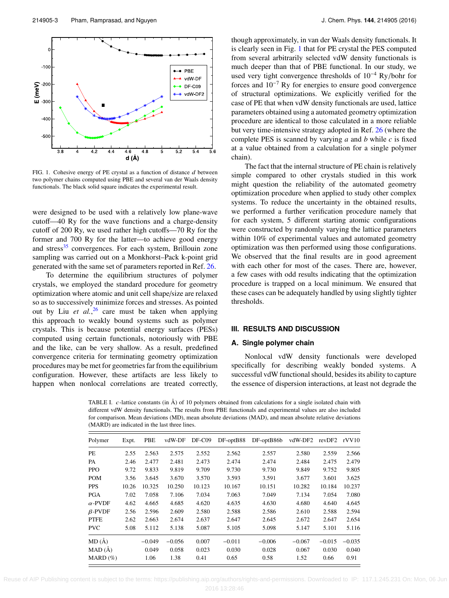<span id="page-3-0"></span>

FIG. 1. Cohesive energy of PE crystal as a function of distance  $d$  between two polymer chains computed using PBE and several van der Waals density functionals. The black solid square indicates the experimental result.

were designed to be used with a relatively low plane-wave cutoff—40 Ry for the wave functions and a charge-density cutoff of 200 Ry, we used rather high cutoffs—70 Ry for the former and 700 Ry for the latter—to achieve good energy and stress<sup>[35](#page-7-11)</sup> convergences. For each system, Brillouin zone sampling was carried out on a Monkhorst–Pack k-point grid generated with the same set of parameters reported in Ref. [26.](#page-7-2)

To determine the equilibrium structures of polymer crystals, we employed the standard procedure for geometry optimization where atomic and unit cell shape/size are relaxed so as to successively minimize forces and stresses. As pointed out by Liu *et al.*, [26](#page-7-2) care must be taken when applying this approach to weakly bound systems such as polymer crystals. This is because potential energy surfaces (PESs) computed using certain functionals, notoriously with PBE and the like, can be very shallow. As a result, predefined convergence criteria for terminating geometry optimization procedures may be met for geometries far from the equilibrium configuration. However, these artifacts are less likely to happen when nonlocal correlations are treated correctly,

though approximately, in van der Waals density functionals. It is clearly seen in Fig. [1](#page-3-0) that for PE crystal the PES computed from several arbitrarily selected vdW density functionals is much deeper than that of PBE functional. In our study, we used very tight convergence thresholds of  $10^{-4}$  Ry/bohr for forces and  $10^{-7}$  Ry for energies to ensure good convergence of structural optimizations. We explicitly verified for the case of PE that when vdW density functionals are used, lattice parameters obtained using a automated geometry optimization procedure are identical to those calculated in a more reliable but very time-intensive strategy adopted in Ref. [26](#page-7-2) (where the complete PES is scanned by varying *a* and *b* while *c* is fixed at a value obtained from a calculation for a single polymer chain).

The fact that the internal structure of PE chain is relatively simple compared to other crystals studied in this work might question the reliability of the automated geometry optimization procedure when applied to study other complex systems. To reduce the uncertainty in the obtained results, we performed a further verification procedure namely that for each system, 5 different starting atomic configurations were constructed by randomly varying the lattice parameters within 10% of experimental values and automated geometry optimization was then performed using those configurations. We observed that the final results are in good agreement with each other for most of the cases. There are, however, a few cases with odd results indicating that the optimization procedure is trapped on a local minimum. We ensured that these cases can be adequately handled by using slightly tighter thresholds.

#### **III. RESULTS AND DISCUSSION**

#### **A. Single polymer chain**

Nonlocal vdW density functionals were developed specifically for describing weakly bonded systems. A successful vdW functional should, besides its ability to capture the essence of dispersion interactions, at least not degrade the

<span id="page-3-1"></span>TABLE I.  $c$ -lattice constants (in  $\AA$ ) of 10 polymers obtained from calculations for a single isolated chain with different vdW density functionals. The results from PBE functionals and experimental values are also included for comparison. Mean deviations (MD), mean absolute deviations (MAD), and mean absolute relative deviations (MARD) are indicated in the last three lines.

| Polymer        | Expt. | PBE      | vdW-DF   | $DF-C09$ | $DF-optB88$ | $DF-optB86b$ | vdW-DF2  | revDF2   | rVV10    |
|----------------|-------|----------|----------|----------|-------------|--------------|----------|----------|----------|
| PE             | 2.55  | 2.563    | 2.575    | 2.552    | 2.562       | 2.557        | 2.580    | 2.559    | 2.566    |
| PA             | 2.46  | 2.477    | 2.481    | 2.473    | 2.474       | 2.474        | 2.484    | 2.475    | 2.479    |
| <b>PPO</b>     | 9.72  | 9.833    | 9.819    | 9.709    | 9.730       | 9.730        | 9.849    | 9.752    | 9.805    |
| <b>POM</b>     | 3.56  | 3.645    | 3.670    | 3.570    | 3.593       | 3.591        | 3.677    | 3.601    | 3.625    |
| <b>PPS</b>     | 10.26 | 10.325   | 10.250   | 10.123   | 10.167      | 10.151       | 10.282   | 10.184   | 10.237   |
| <b>PGA</b>     | 7.02  | 7.058    | 7.106    | 7.034    | 7.063       | 7.049        | 7.134    | 7.054    | 7.080    |
| $\alpha$ -PVDF | 4.62  | 4.665    | 4.685    | 4.620    | 4.635       | 4.630        | 4.680    | 4.640    | 4.645    |
| $\beta$ -PVDF  | 2.56  | 2.596    | 2.609    | 2.580    | 2.588       | 2.586        | 2.610    | 2.588    | 2.594    |
| <b>PTFE</b>    | 2.62  | 2.663    | 2.674    | 2.637    | 2.647       | 2.645        | 2.672    | 2.647    | 2.654    |
| <b>PVC</b>     | 5.08  | 5.112    | 5.138    | 5.087    | 5.105       | 5.098        | 5.147    | 5.101    | 5.116    |
| MD(A)          |       | $-0.049$ | $-0.056$ | 0.007    | $-0.011$    | $-0.006$     | $-0.067$ | $-0.015$ | $-0.035$ |
| MAD(A)         |       | 0.049    | 0.058    | 0.023    | 0.030       | 0.028        | 0.067    | 0.030    | 0.040    |
| $MARD(\%)$     |       | 1.06     | 1.38     | 0.41     | 0.65        | 0.58         | 1.52     | 0.66     | 0.91     |

Reuse of AIP Publishing content is subject to the terms: https://publishing.aip.org/authors/rights-and-permissions. Downloaded to IP: 117.1.245.231 On: Mon, 06 Jun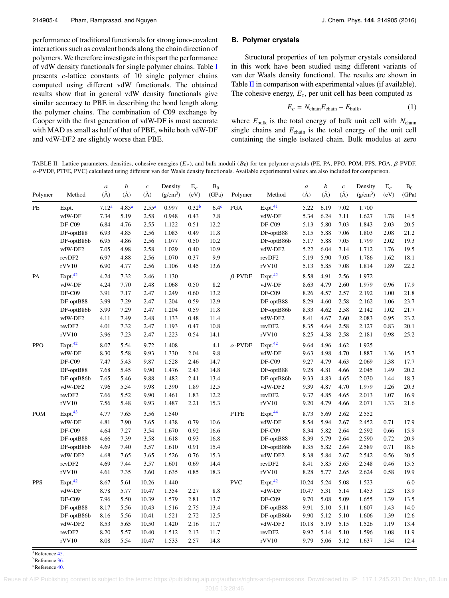performance of traditional functionals for strong iono-covalent interactions such as covalent bonds along the chain direction of polymers. We therefore investigate in this part the performance of vdW density functionals for single polymer chains. Table [I](#page-3-1) presents *c*-lattice constants of 10 single polymer chains computed using different vdW functionals. The obtained results show that in general vdW density functionals give similar accuracy to PBE in describing the bond length along the polymer chains. The combination of C09 exchange by Cooper with the first generation of vdW-DF is most accurate with MAD as small as half of that of PBE, while both vdW-DF and vdW-DF2 are slightly worse than PBE.

# **B. Polymer crystals**

Structural properties of ten polymer crystals considered in this work have been studied using different variants of van der Waals density functional. The results are shown in Table [II](#page-4-0) in comparison with experimental values (if available). The cohesive energy,  $E_c$ , per unit cell has been computed as

$$
E_c = N_{\text{chain}} E_{\text{chain}} - E_{\text{bulk}},\tag{1}
$$

where *E*bulk is the total energy of bulk unit cell with *N*chain single chains and *E*chain is the total energy of the unit cell containing the single isolated chain. Bulk modulus at zero

<span id="page-4-0"></span>TABLE II. Lattice parameters, densities, cohesive energies  $(E_c)$ , and bulk moduli  $(B_0)$  for ten polymer crystals (PE, PA, PPO, POM, PPS, PGA,  $\beta$ -PVDF,  $\alpha$ -PVDF, PTFE, PVC) calculated using different van der Waals density functionals. Available experimental values are also included for comparison.

| Polymer    | Method              | $\boldsymbol{a}$<br>$(\AA)$ | b<br>$(\AA)$      | $\boldsymbol{c}$<br>$(\AA)$ | Density<br>$(g/cm^3)$ | $\mathbf{E}_c$<br>(eV) | B <sub>0</sub><br>(GPa) | Polymer        | Method              | $\boldsymbol{a}$<br>$(\AA)$ | b<br>$(\AA)$ | $\boldsymbol{c}$<br>$(\AA)$ | Density<br>(g/cm <sup>3</sup> ) | $\mathbf{E}_c$<br>(eV) | B <sub>0</sub><br>(GPa) |
|------------|---------------------|-----------------------------|-------------------|-----------------------------|-----------------------|------------------------|-------------------------|----------------|---------------------|-----------------------------|--------------|-----------------------------|---------------------------------|------------------------|-------------------------|
| PE         | Expt.               | 7.12 <sup>a</sup>           | 4.85 <sup>a</sup> | 2.55 <sup>a</sup>           | 0.997                 | 0.32 <sup>b</sup>      | 6.4 <sup>c</sup>        | PGA            | Expt. <sup>41</sup> | 5.22                        | 6.19         | 7.02                        | 1.700                           |                        |                         |
|            | vdW-DF              | 7.34                        | 5.19              | 2.58                        | 0.948                 | 0.43                   | 7.8                     |                | vdW-DF              | 5.34                        | 6.24         | 7.11                        | 1.627                           | 1.78                   | 14.5                    |
|            | DF-C09              | 6.84                        | 4.76              | 2.55                        | 1.122                 | 0.51                   | 12.2                    |                | DF-C09              | 5.13                        | 5.80         | 7.03                        | 1.843                           | 2.03                   | 20.5                    |
|            | DF-optB88           | 6.93                        | 4.85              | 2.56                        | 1.083                 | 0.49                   | 11.8                    |                | DF-optB88           | 5.15                        | 5.88         | 7.06                        | 1.803                           | 2.08                   | 21.2                    |
|            | DF-optB86b          | 6.95                        | 4.86              | 2.56                        | 1.077                 | 0.50                   | 10.2                    |                | DF-optB86b          | 5.17                        | 5.88         | 7.05                        | 1.799                           | 2.02                   | 19.3                    |
|            | vdW-DF2             | 7.05                        | 4.98              | 2.58                        | 1.029                 | 0.40                   | 10.9                    |                | vdW-DF2             | 5.22                        | 6.04         | 7.14                        | 1.712                           | 1.76                   | 19.5                    |
|            | revDF2              | 6.97                        | 4.88              | 2.56                        | 1.070                 | 0.37                   | 9.9                     |                | revDF2              | 5.19                        | 5.90         | 7.05                        | 1.786                           | 1.62                   | 18.1                    |
|            | rVV10               | 6.90                        | 4.77              | 2.56                        | 1.106                 | 0.45                   | 13.6                    |                | rVV10               | 5.13                        | 5.85         | 7.08                        | 1.814                           | 1.89                   | 22.2                    |
| PA         | Expt. <sup>42</sup> | 4.24                        | 7.32              | 2.46                        | 1.130                 |                        |                         | $\beta$ -PVDF  | Expt. <sup>42</sup> | 8.58                        | 4.91         | 2.56                        | 1.972                           |                        |                         |
|            | vdW-DF              | 4.24                        | 7.70              | 2.48                        | 1.068                 | 0.50                   | 8.2                     |                | vdW-DF              | 8.63                        | 4.79         | 2.60                        | 1.979                           | 0.96                   | 17.9                    |
|            | DF-C09              | 3.91                        | 7.17              | 2.47                        | 1.249                 | 0.60                   | 13.2                    |                | DF-C09              | 8.26                        | 4.57         | 2.57                        | 2.192                           | 1.00                   | 21.8                    |
|            | DF-optB88           | 3.99                        | 7.29              | 2.47                        | 1.204                 | 0.59                   | 12.9                    |                | DF-optB88           | 8.29                        | 4.60         | 2.58                        | 2.162                           | 1.06                   | 23.7                    |
|            | DF-optB86b          | 3.99                        | 7.29              | 2.47                        | 1.204                 | 0.59                   | 11.8                    |                | DF-optB86b          | 8.33                        | 4.62         | 2.58                        | 2.142                           | 1.02                   | 21.7                    |
|            | vdW-DF2             | 4.11                        | 7.49              | 2.48                        | 1.133                 | 0.48                   | 11.4                    |                | vdW-DF2             | 8.41                        | 4.67         | 2.60                        | 2.083                           | 0.95                   | 23.2                    |
|            | revDF2              | 4.01                        | 7.32              | 2.47                        | 1.193                 | 0.47                   | 10.8                    |                | revDF2              | 8.35                        | 4.64         | 2.58                        | 2.127                           | 0.83                   | 20.1                    |
|            | rVV10               | 3.96                        | 7.23              | 2.47                        | 1.223                 | 0.54                   | 14.1                    |                | rVV10               | 8.25                        | 4.58         | 2.58                        | 2.181                           | 0.98                   | 25.2                    |
| <b>PPO</b> | Expt. <sup>42</sup> | 8.07                        | 5.54              | 9.72                        | 1.408                 |                        | 4.1                     | $\alpha$ -PVDF | Expt. <sup>42</sup> | 9.64                        | 4.96         | 4.62                        | 1.925                           |                        |                         |
|            | vdW-DF              | 8.30                        | 5.58              | 9.93                        | 1.330                 | 2.04                   | 9.8                     |                | vdW-DF              | 9.63                        | 4.98         | 4.70                        | 1.887                           | 1.36                   | 15.7                    |
|            | DF-C09              | 7.47                        | 5.43              | 9.87                        | 1.528                 | 2.46                   | 14.7                    |                | DF-C09              | 9.27                        | 4.79         | 4.63                        | 2.069                           | 1.38                   | 17.7                    |
|            | DF-optB88           | 7.68                        | 5.45              | 9.90                        | 1.476                 | 2.43                   | 14.8                    |                | DF-optB88           | 9.28                        | 4.81         | 4.66                        | 2.045                           | 1.49                   | 20.2                    |
|            | DF-optB86b          | 7.65                        | 5.46              | 9.88                        | 1.482                 | 2.41                   | 13.4                    |                | DF-optB86b          | 9.33                        | 4.83         | 4.65                        | 2.030                           | 1.44                   | 18.3                    |
|            | vdW-DF2             | 7.96                        | 5.54              | 9.98                        | 1.390                 | 1.89                   | 12.5                    |                | vdW-DF2             | 9.39                        | 4.87         | 4.70                        | 1.979                           | 1.26                   | 20.3                    |
|            | revDF2              | 7.66                        | 5.52              | 9.90                        | 1.461                 | 1.83                   | 12.2                    |                | revDF2              | 9.37                        | 4.85         | 4.65                        | 2.013                           | 1.07                   | 16.9                    |
|            | rVV10               | 7.56                        | 5.48              | 9.93                        | 1.487                 | 2.21                   | 15.3                    |                | rVV10               | 9.20                        | 4.79         | 4.66                        | 2.071                           | 1.33                   | 21.6                    |
| <b>POM</b> | Expt. <sup>43</sup> | 4.77                        | 7.65              | 3.56                        | 1.540                 |                        |                         | <b>PTFE</b>    | Expt. <sup>44</sup> | 8.73                        | 5.69         | 2.62                        | 2.552                           |                        |                         |
|            | vdW-DF              | 4.81                        | 7.90              | 3.65                        | 1.438                 | 0.79                   | 10.6                    |                | vdW-DF              | 8.54                        | 5.94         | 2.67                        | 2.452                           | 0.71                   | 17.9                    |
|            | $DF-C09$            | 4.64                        | 7.27              | 3.54                        | 1.670                 | 0.92                   | 16.6                    |                | DF-C09              | 8.34                        | 5.82         | 2.64                        | 2.592                           | 0.66                   | 15.9                    |
|            | DF-optB88           | 4.66                        | 7.39              | 3.58                        | 1.618                 | 0.93                   | 16.8                    |                | DF-optB88           | 8.39                        | 5.79         | 2.64                        | 2.590                           | 0.72                   | 20.9                    |
|            | DF-optB86b          | 4.69                        | 7.40              | 3.57                        | 1.610                 | 0.91                   | 15.4                    |                | DF-optB86b          | 8.35                        | 5.82         | 2.64                        | 2.589                           | 0.71                   | 18.6                    |
|            | vdW-DF2             | 4.68                        | 7.65              | 3.65                        | 1.526                 | 0.76                   | 15.3                    |                | vdW-DF2             | 8.38                        | 5.84         | 2.67                        | 2.542                           | 0.56                   | 20.5                    |
|            | revDF2              | 4.69                        | 7.44              | 3.57                        | 1.601                 | 0.69                   | 14.4                    |                | revDF2              | 8.41                        | 5.85         | 2.65                        | 2.548                           | 0.46                   | 15.5                    |
|            | rVV10               | 4.61                        | 7.35              | 3.60                        | 1.635                 | 0.85                   | 18.3                    |                | rVV10               | 8.28                        | 5.77         | 2.65                        | 2.624                           | 0.58                   | 19.9                    |
| <b>PPS</b> | Expt. <sup>42</sup> | 8.67                        | 5.61              | 10.26                       | 1.440                 |                        |                         | <b>PVC</b>     | Expt. <sup>42</sup> | 10.24                       | 5.24         | 5.08                        | 1.523                           |                        | 6.0                     |
|            | vdW-DF              | 8.78                        | 5.77              | 10.47                       | 1.354                 | 2.27                   | 8.8                     |                | vdW-DF              | 10.47                       | 5.31         | 5.14                        | 1.453                           | 1.23                   | 13.9                    |
|            | DF-C09              | 7.96                        | 5.50              | 10.39                       | 1.579                 | 2.81                   | 13.7                    |                | DF-C09              | 9.70                        | 5.08         | 5.09                        | 1.655                           | 1.39                   | 13.5                    |
|            | DF-optB88           | 8.17                        | 5.56              | 10.43                       | 1.516                 | 2.75                   | 13.4                    |                | DF-optB88           | 9.91                        | 5.10         | 5.11                        | 1.607                           | 1.43                   | 14.0                    |
|            | DF-optB86b          | 8.16                        | 5.56              | 10.41                       | 1.521                 | 2.72                   | 12.5                    |                | DF-optB86b          | 9.90                        | 5.12         | 5.10                        | 1.606                           | 1.39                   | 12.6                    |
|            | vdW-DF2             | 8.53                        | 5.65              | 10.50                       | 1.420                 | 2.16                   | 11.7                    |                | vdW-DF2             | 10.18                       | 5.19         | 5.15                        | 1.526                           | 1.19                   | 13.4                    |
|            | revDF2              | 8.20                        | 5.57              | 10.40                       | 1.512                 | 2.13                   | 11.7                    |                | revDF2              | 9.92                        | 5.14         | 5.10                        | 1.596                           | 1.08                   | 11.9                    |
|            | rVV10               | 8.08                        | 5.54              | 10.47                       | 1.533                 | 2.57                   | 14.8                    |                | rVV10               | 9.79                        | 5.06         | 5.12                        | 1.637                           | 1.34                   | 12.4                    |
|            |                     |                             |                   |                             |                       |                        |                         |                |                     |                             |              |                             |                                 |                        |                         |

<span id="page-4-1"></span><sup>a</sup>Reference [45.](#page-7-16) b<sub>Reference</sub> [36.](#page-7-17)

<span id="page-4-3"></span><span id="page-4-2"></span><sup>c</sup>Reference [40.](#page-7-18)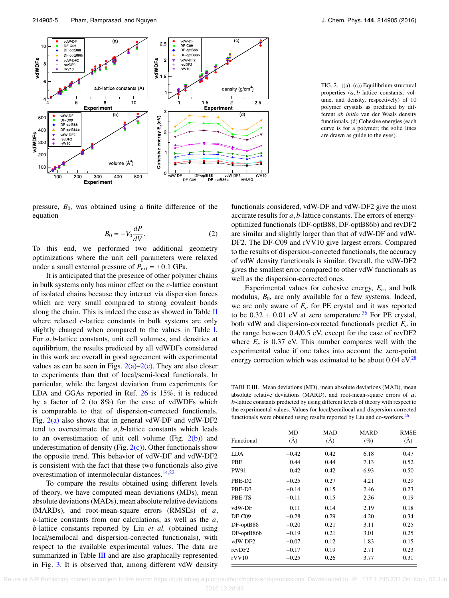<span id="page-5-0"></span>

FIG. 2. ((a)–(c)) Equilibrium structural properties (a, <sup>b</sup>-lattice constants, volume, and density, respectively) of 10 polymer crystals as predicted by different *ab initio* van der Waals density functionals. (d) Cohesive energies (each curve is for a polymer; the solid lines are drawn as guide to the eyes).

pressure,  $B_0$ , was obtained using a finite difference of the equation

$$
B_0 = -V_0 \frac{dP}{dV}.\tag{2}
$$

To this end, we performed two additional geometry optimizations where the unit cell parameters were relaxed under a small external pressure of  $P_{ext} = \pm 0.1$  GPa.

It is anticipated that the presence of other polymer chains in bulk systems only has minor effect on the *c*-lattice constant of isolated chains because they interact via dispersion forces which are very small compared to strong covalent bonds along the chain. This is indeed the case as showed in Table  $\Pi$ where relaxed *c*-lattice constants in bulk systems are only slightly changed when compared to the values in Table [I.](#page-3-1) For *<sup>a</sup>*, *<sup>b</sup>*-lattice constants, unit cell volumes, and densities at equilibrium, the results predicted by all vdWDFs considered in this work are overall in good agreement with experimental values as can be seen in Figs.  $2(a)-2(c)$ . They are also closer to experiments than that of local/semi-local functionals. In particular, while the largest deviation from experiments for LDA and GGAs reported in Ref. [26](#page-7-2) is 15%, it is reduced by a factor of 2 (to 8%) for the case of vdWDFs which is comparable to that of dispersion-corrected functionals. Fig.  $2(a)$  also shows that in general vdW-DF and vdW-DF2 tend to overestimate the *<sup>a</sup>*, *<sup>b</sup>*-lattice constants which leads to an overestimation of unit cell volume (Fig.  $2(b)$ ) and underestimation of density (Fig.  $2(c)$ ). Other functionals show the opposite trend. This behavior of vdW-DF and vdW-DF2 is consistent with the fact that these two functionals also give overestimation of intermolecular distances.[14,](#page-6-12)[22](#page-6-20)

To compare the results obtained using different levels of theory, we have computed mean deviations (MDs), mean absolute deviations (MADs), mean absolute relative deviations (MARDs), and root-mean-square errors (RMSEs) of *<sup>a</sup>*, *<sup>b</sup>*-lattice constants from our calculations, as well as the *<sup>a</sup>*, *b*-lattice constants reported by Liu *et al.* (obtained using local/semilocal and dispersion-corrected functionals), with respect to the available experimental values. The data are summarized in Table [III](#page-5-1) and are also graphically represented in Fig. [3.](#page-6-22) It is observed that, among different vdW density

functionals considered, vdW-DF and vdW-DF2 give the most accurate results for *<sup>a</sup>*, *<sup>b</sup>*-lattice constants. The errors of energyoptimized functionals (DF-optB88, DF-optB86b) and revDF2 are similar and slightly larger than that of vdW-DF and vdW-DF2. The DF-C09 and rVV10 give largest errors. Compared to the results of dispersion-corrected functionals, the accuracy of vdW density functionals is similar. Overall, the vdW-DF2 gives the smallest error compared to other vdW functionals as well as the dispersion-corrected ones.

Experimental values for cohesive energy,  $E_c$ , and bulk modulus,  $B_0$ , are only available for a few systems. Indeed, we are only aware of  $E_c$  for PE crystal and it was reported to be  $0.32 \pm 0.01$  eV at zero temperature.<sup>[36](#page-7-17)</sup> For PE crystal, both vdW and dispersion-corrected functionals predict  $E_c$  in the range between 0.4/0.5 eV, except for the case of revDF2 where  $E_c$  is 0.37 eV. This number compares well with the experimental value if one takes into account the zero-point energy correction which was estimated to be about  $0.04 \text{ eV}^{28}$  $0.04 \text{ eV}^{28}$  $0.04 \text{ eV}^{28}$ 

<span id="page-5-1"></span>TABLE III. Mean deviations (MD), mean absolute deviations (MAD), mean absolute relative deviations (MARD), and root-mean-square errors of  $a$ , b-lattice constants predicted by using different levels of theory with respect to the experimental values. Values for local/semilocal and dispersion-corrected functionals were obtained using results reported by Liu and co-workers. $26$ 

| Functional         | MD<br>$\rm(\AA)$ | <b>MAD</b><br>$\rm(\AA)$ | <b>MARD</b><br>(%) | <b>RMSE</b><br>$(\AA)$ |
|--------------------|------------------|--------------------------|--------------------|------------------------|
| <b>LDA</b>         | $-0.42$          | 0.42                     | 6.18               | 0.47                   |
| PBE                | 0.44             | 0.44                     | 7.13               | 0.52                   |
| <b>PW91</b>        | 0.42             | 0.42                     | 6.93               | 0.50                   |
| PBE-D <sub>2</sub> | $-0.25$          | 0.27                     | 4.21               | 0.29                   |
| PBE-D3             | $-0.14$          | 0.15                     | 2.46               | 0.23                   |
| PBE-TS             | $-0.11$          | 0.15                     | 2.36               | 0.19                   |
| vdW-DF             | 0.11             | 0.14                     | 2.19               | 0.18                   |
| $DF-C09$           | $-0.28$          | 0.29                     | 4.20               | 0.34                   |
| DF-optB88          | $-0.20$          | 0.21                     | 3.11               | 0.25                   |
| DF-optB86b         | $-0.19$          | 0.21                     | 3.01               | 0.25                   |
| vdW-DF2            | $-0.07$          | 0.12                     | 1.83               | 0.15                   |
| revDF2             | $-0.17$          | 0.19                     | 2.71               | 0.23                   |
| rVV10              | $-0.25$          | 0.26                     | 3.77               | 0.31                   |
|                    |                  |                          |                    |                        |

Reuse of AIP Publishing content is subject to the terms: https://publishing.aip.org/authors/rights-and-permissions. Downloaded to IP: 117.1.245.231 On: Mon, 06 Jun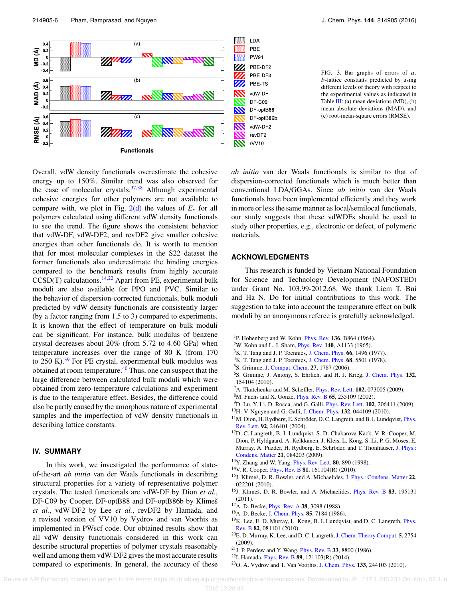<span id="page-6-22"></span>

FIG. 3. Bar graphs of errors of <sup>a</sup>, b-lattice constants predicted by using different levels of theory with respect to the experimental values as indicated in Table [III:](#page-5-1) (a) mean deviations (MD), (b) mean absolute deviations (MAD), and (c) root-mean-square errors (RMSE).

Overall, vdW density functionals overestimate the cohesive energy up to 150%. Similar trend was also observed for the case of molecular crystals. $37,38$  $37,38$  Although experimental cohesive energies for other polymers are not available to compare with, we plot in Fig.  $2(d)$  the values of  $E_c$  for all polymers calculated using different vdW density functionals to see the trend. The figure shows the consistent behavior that vdW-DF, vdW-DF2, and revDF2 give smaller cohesive energies than other functionals do. It is worth to mention that for most molecular complexes in the S22 dataset the former functionals also underestimate the binding energies compared to the benchmark results from highly accurate  $CCSD(T)$  calculations.<sup>[14](#page-6-12)[,22](#page-6-20)</sup> Apart from PE, experimental bulk moduli are also available for PPO and PVC. Similar to the behavior of dispersion-corrected functionals, bulk moduli predicted by vdW density functionals are consistently larger (by a factor ranging from 1.5 to 3) compared to experiments. It is known that the effect of temperature on bulk moduli can be significant. For instance, bulk modulus of benzene crystal decreases about 20% (from 5.72 to 4.60 GPa) when temperature increases over the range of 80 K (from 170 to  $250$  K).<sup>[39](#page-7-21)</sup> For PE crystal, experimental bulk modulus was obtained at room temperature.<sup>[40](#page-7-18)</sup> Thus, one can suspect that the large difference between calculated bulk moduli which were obtained from zero-temperature calculations and experiment is due to the temperature effect. Besides, the difference could also be partly caused by the amorphous nature of experimental samples and the imperfection of vdW density functionals in describing lattice constants.

## **IV. SUMMARY**

In this work, we investigated the performance of stateof-the-art *ab initio* van der Waals functionals in describing structural properties for a variety of representative polymer crystals. The tested functionals are vdW-DF by Dion *et al.*, DF-C09 by Cooper, DF-optB88 and DF-optB86b by Klimeš *et al.*, vdW-DF2 by Lee *et al.*, revDF2 by Hamada, and a revised version of VV10 by Vydrov and van Voorhis as implemented in PWscf code. Our obtained results show that all vdW density functionals considered in this work can describe structural properties of polymer crystals reasonably well and among them vdW-DF2 gives the most accurate results compared to experiments. In general, the accuracy of these

*ab initio* van der Waals functionals is similar to that of dispersion-corrected functionals which is much better than conventional LDA/GGAs. Since *ab initio* van der Waals functionals have been implemented efficiently and they work in more or less the same manner as local/semilocal functionals, our study suggests that these vdWDFs should be used to study other properties, e.g., electronic or defect, of polymeric materials.

### **ACKNOWLEDGMENTS**

This research is funded by Vietnam National Foundation for Science and Technology Development (NAFOSTED) under Grant No. 103.99-2012.68. We thank Liem T. Bui and Ha N. Do for initial contributions to this work. The suggestion to take into account the temperature effect on bulk moduli by an anonymous referee is gratefully acknowledged.

- <span id="page-6-0"></span><sup>1</sup>P. Hohenberg and W. Kohn, *[Phys. Rev.](http://dx.doi.org/10.1103/PhysRev.136.B864)* **136**, B864 (1964).
- <span id="page-6-1"></span><sup>2</sup>W. Kohn and L. J. Sham, [Phys. Rev.](http://dx.doi.org/10.1103/PhysRev.140.A1133) 140, A1133 (1965).
- <span id="page-6-2"></span><sup>3</sup>K. T. Tang and J. P. Toennies, [J. Chem. Phys.](http://dx.doi.org/10.1063/1.434113) 66, 1496 (1977).
- <span id="page-6-3"></span><sup>4</sup>K. T. Tang and J. P. Toennies, [J. Chem. Phys.](http://dx.doi.org/10.1063/1.435678) 68, 5501 (1978).
- <span id="page-6-4"></span><sup>5</sup>S. Grimme, [J. Comput. Chem.](http://dx.doi.org/10.1002/jcc.20495) 27, 1787 (2006).
- <span id="page-6-5"></span><sup>6</sup>S. Grimme, J. Antony, S. Ehrlich, and H. J. Krieg, [J. Chem. Phys.](http://dx.doi.org/10.1063/1.3382344) 132, 154104 (2010).
- <span id="page-6-6"></span> ${}^{7}$ A. Tkatchenko and M. Scheffler, *[Phys. Rev. Lett.](http://dx.doi.org/10.1103/PhysRevLett.102.073005)* **102**, 073005 (2009).
- <span id="page-6-7"></span><sup>8</sup>M. Fuchs and X. Gonze, [Phys. Rev. B](http://dx.doi.org/10.1103/PhysRevB.65.235109) 65, 235109 (2002).
- <sup>9</sup>D. Lu, Y. Li, D. Rocca, and G. Galli, [Phys. Rev. Lett.](http://dx.doi.org/10.1103/PhysRevLett.102.206411) 102, 206411 (2009).
- <span id="page-6-8"></span><sup>10</sup>H.-V. Nguyen and G. Galli, [J. Chem. Phys.](http://dx.doi.org/10.1063/1.3299247) 132, 044109 (2010).
- <span id="page-6-9"></span><sup>11</sup>M. Dion, H. Rydberg, E. Schröder, D. C. Langreth, and B. I. Lundqvist, *[Phys.](http://dx.doi.org/10.1103/PhysRevLett.92.246401)* [Rev. Lett.](http://dx.doi.org/10.1103/PhysRevLett.92.246401) 92, 246401 (2004).
- <span id="page-6-10"></span><sup>12</sup>D. C. Langreth, B. I. Lundqvist, S. D. Chakarova-Käck, V. R. Cooper, M. Dion, P. Hyldgaard, A. Kelkkanen, J. Kleis, L. Kong, S. Li, P. G. Moses, E. Murray, A. Puzder, H. Rydberg, E. Schröder, and T. Thonhauser, [J. Phys.:](http://dx.doi.org/10.1088/0953-8984/21/8/084203) [Condens. Matter](http://dx.doi.org/10.1088/0953-8984/21/8/084203) 21, 084203 (2009).
- <span id="page-6-11"></span> $13$ Y. Zhang and W. Yang, *[Phys. Rev. Lett.](http://dx.doi.org/10.1103/PhysRevLett.80.890)* **80**, 890 (1998).
- <span id="page-6-12"></span><sup>14</sup>V. R. Cooper, *[Phys. Rev. B](http://dx.doi.org/10.1103/PhysRevB.81.161104)* **81**, 161104(*R*) (2010).
- <span id="page-6-13"></span><sup>15</sup>J. Klimeš, D. R. Bowler, and A. Michaelides, [J. Phys.: Condens. Matter](http://dx.doi.org/10.1088/0953-8984/22/2/022201) 22, 022201 (2010).
- <span id="page-6-14"></span><sup>16</sup>J. Klimeš, D. R. Bowler, and A. Michaelides, [Phys. Rev. B](http://dx.doi.org/10.1103/PhysRevB.83.195131) 83, 195131 (2011).
- <span id="page-6-15"></span><sup>17</sup>A. D. Becke, *[Phys. Rev. A](http://dx.doi.org/10.1103/PhysRevA.38.3098)* **38**, 3098 (1988).
- <span id="page-6-16"></span><sup>18</sup>A. D. Becke, [J. Chem. Phys.](http://dx.doi.org/10.1063/1.451353) 85, 7184 (1986).
- <span id="page-6-17"></span><sup>19</sup>K. Lee, E. D. Murray, L. Kong, B. I. Lundqvist, and D. C. Langreth, *[Phys.](http://dx.doi.org/10.1103/PhysRevB.82.081101)* [Rev. B](http://dx.doi.org/10.1103/PhysRevB.82.081101) 82, 081101 (2010).
- <span id="page-6-18"></span><sup>20</sup>E. D. Murray, K. Lee, and D. C. Langreth,[J. Chem. Theory Comput.](http://dx.doi.org/10.1021/ct900365q) 5, 2754 (2009).
- <span id="page-6-19"></span><sup>21</sup>J. P. Perdew and Y. Wang, [Phys. Rev. B](http://dx.doi.org/10.1103/PhysRevB.33.8800) 33, 8800 (1986).
- <span id="page-6-20"></span><sup>22</sup>I. Hamada, [Phys. Rev. B](http://dx.doi.org/10.1103/PhysRevB.89.121103) 89, 121103(R) (2014).
- <span id="page-6-21"></span><sup>23</sup>O. A. Vydrov and T. Van Voorhis, [J. Chem. Phys.](http://dx.doi.org/10.1063/1.3521275) 133, 244103 (2010).